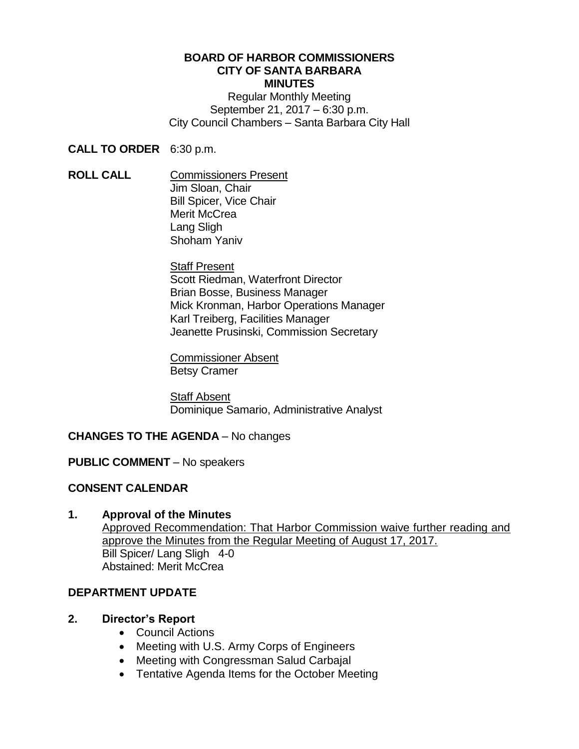#### **BOARD OF HARBOR COMMISSIONERS CITY OF SANTA BARBARA MINUTES**

Regular Monthly Meeting September 21, 2017 – 6:30 p.m. City Council Chambers – Santa Barbara City Hall

**CALL TO ORDER** 6:30 p.m.

**ROLL CALL** Commissioners Present Jim Sloan, Chair Bill Spicer, Vice Chair Merit McCrea Lang Sligh Shoham Yaniv

> Staff Present Scott Riedman, Waterfront Director Brian Bosse, Business Manager Mick Kronman, Harbor Operations Manager Karl Treiberg, Facilities Manager Jeanette Prusinski, Commission Secretary

Commissioner Absent Betsy Cramer

Staff Absent Dominique Samario, Administrative Analyst

# **CHANGES TO THE AGENDA** – No changes

# **PUBLIC COMMENT** – No speakers

# **CONSENT CALENDAR**

# **1. Approval of the Minutes**

Approved Recommendation: That Harbor Commission waive further reading and approve the Minutes from the Regular Meeting of August 17, 2017. Bill Spicer/ Lang Sligh 4-0 Abstained: Merit McCrea

# **DEPARTMENT UPDATE**

# **2. Director's Report**

- Council Actions
- Meeting with U.S. Army Corps of Engineers
- Meeting with Congressman Salud Carbajal
- Tentative Agenda Items for the October Meeting